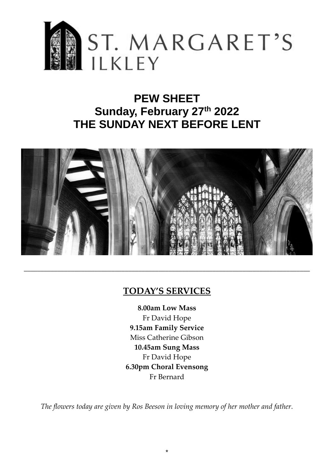

# **PEW SHEET Sunday, February 27th 2022 THE SUNDAY NEXT BEFORE LENT**



## **TODAY'S SERVICES**

\_\_\_\_\_\_\_\_\_\_\_\_\_\_\_\_\_\_\_\_\_\_\_\_\_\_\_\_\_\_\_\_\_\_\_\_\_\_\_\_\_\_\_\_\_\_\_\_\_\_\_\_\_\_\_\_\_\_\_\_\_\_\_\_\_\_\_\_\_\_\_\_\_\_\_\_\_\_\_\_\_\_\_\_\_

**8.00am Low Mass** Fr David Hope **9.15am Family Service** Miss Catherine Gibson **10.45am Sung Mass** Fr David Hope **6.30pm Choral Evensong** Fr Bernard

*The flowers today are given by Ros Beeson in loving memory of her mother and father.*

\*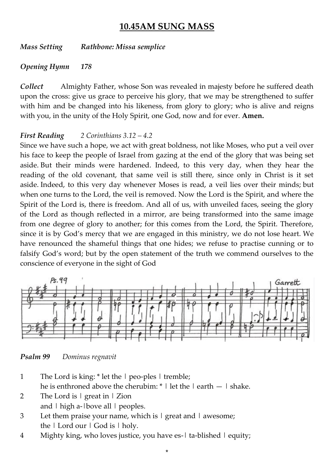## **10.45AM SUNG MASS**

*Mass Setting Rathbone: Missa semplice*

#### *Opening Hymn 178*

*Collect* Almighty Father, whose Son was revealed in majesty before he suffered death upon the cross: give us grace to perceive his glory, that we may be strengthened to suffer with him and be changed into his likeness, from glory to glory; who is alive and reigns with you, in the unity of the Holy Spirit, one God, now and for ever. **Amen.**

#### *First Reading 2 Corinthians 3.12 – 4.2*

Since we have such a hope, we act with great boldness, not like Moses, who put a veil over his face to keep the people of Israel from gazing at the end of the glory that was being set aside. But their minds were hardened. Indeed, to this very day, when they hear the reading of the old covenant, that same veil is still there, since only in Christ is it set aside. Indeed, to this very day whenever Moses is read, a veil lies over their minds; but when one turns to the Lord, the veil is removed. Now the Lord is the Spirit, and where the Spirit of the Lord is, there is freedom. And all of us, with unveiled faces, seeing the glory of the Lord as though reflected in a mirror, are being transformed into the same image from one degree of glory to another; for this comes from the Lord, the Spirit. Therefore, since it is by God's mercy that we are engaged in this ministry, we do not lose heart. We have renounced the shameful things that one hides; we refuse to practise cunning or to falsify God's word; but by the open statement of the truth we commend ourselves to the conscience of everyone in the sight of God



*Psalm 99 Dominus regnavit*

- 1 The Lord is king: \* let the | peo-ples | tremble; he is enthroned above the cherubim:  $*$  | let the | earth  $-$  | shake.
- 2 The Lord is | great in | Zion and  $\vert$  high a- $\vert$  bove all  $\vert$  peoples.
- 3 Let them praise your name, which is | great and | awesome; the  $\vert$  Lord our  $\vert$  God is  $\vert$  holy.
- 4 Mighty king, who loves justice, you have es-| ta-blished | equity;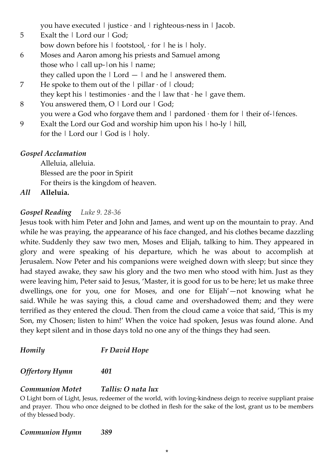you have executed  $|$  justice  $\cdot$  and  $|$  righteous-ness in  $|$  Jacob.

- 5 Exalt the | Lord our | God; bow down before his  $\vert$  footstool,  $\cdot$  for  $\vert$  he is  $\vert$  holy.
- 6 Moses and Aaron among his priests and Samuel among those who  $\vert$  call up- $\vert$  on his  $\vert$  name; they called upon the  $|$  Lord  $|$  and he  $|$  answered them.
- 7 He spoke to them out of the  $|$  pillar  $\cdot$  of  $|$  cloud; they kept his  $\vert$  testimonies  $\cdot$  and the  $\vert$  law that  $\cdot$  he  $\vert$  gave them.
- 8 You answered them, O | Lord our | God; you were a God who forgave them and  $\vert$  pardoned  $\cdot$  them for  $\vert$  their of- $\vert$  fences.
- 9 Exalt the Lord our God and worship him upon his  $|$  ho-ly  $|$  hill, for the  $\vert$  Lord our  $\vert$  God is  $\vert$  holy.

### *Gospel Acclamation*

Alleluia, alleluia. Blessed are the poor in Spirit For theirs is the kingdom of heaven.

*All* **Alleluia.**

### *Gospel Reading Luke 9. 28-36*

Jesus took with him Peter and John and James, and went up on the mountain to pray. And while he was praying, the appearance of his face changed, and his clothes became dazzling white. Suddenly they saw two men, Moses and Elijah, talking to him. They appeared in glory and were speaking of his departure, which he was about to accomplish at Jerusalem. Now Peter and his companions were weighed down with sleep; but since they had stayed awake, they saw his glory and the two men who stood with him. Just as they were leaving him, Peter said to Jesus, 'Master, it is good for us to be here; let us make three dwellings, one for you, one for Moses, and one for Elijah'—not knowing what he said. While he was saying this, a cloud came and overshadowed them; and they were terrified as they entered the cloud. Then from the cloud came a voice that said, 'This is my Son, my Chosen; listen to him!' When the voice had spoken, Jesus was found alone. And they kept silent and in those days told no one any of the things they had seen.

*Homily Fr David Hope*

*Offertory Hymn 401*

### *Communion Motet Tallis: O nata lux*

O Light born of Light, Jesus, redeemer of the world, with loving-kindness deign to receive suppliant praise and prayer. Thou who once deigned to be clothed in flesh for the sake of the lost, grant us to be members of thy blessed body.

*Communion Hymn 389*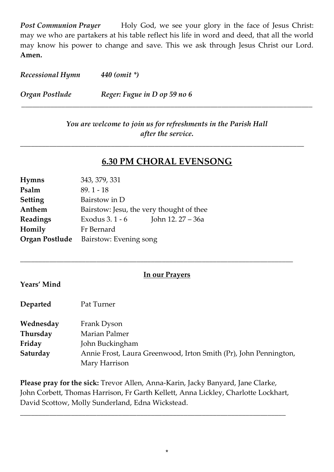**Post Communion Prayer** Holy God, we see your glory in the face of Jesus Christ: may we who are partakers at his table reflect his life in word and deed, that all the world may know his power to change and save. This we ask through Jesus Christ our Lord. **Amen.**

*Recessional Hymn 440 (omit \*)*

*Organ Postlude Reger: Fugue in D op 59 no 6*

*You are welcome to join us for refreshments in the Parish Hall after the service.*

*\_\_\_\_\_\_\_\_\_\_\_\_\_\_\_\_\_\_\_\_\_\_\_\_\_\_\_\_\_\_\_\_\_\_\_\_\_\_\_\_\_\_\_\_\_\_\_\_\_\_\_\_\_\_\_\_\_\_\_\_\_\_\_\_\_\_\_\_\_\_\_\_\_\_\_\_\_\_*

*\_\_\_\_\_\_\_\_\_\_\_\_\_\_\_\_\_\_\_\_\_\_\_\_\_\_\_\_\_\_\_\_\_\_\_\_\_\_\_\_\_\_\_\_\_\_\_\_\_\_\_\_\_\_\_\_\_\_\_\_\_\_\_\_\_\_\_\_\_\_\_\_\_\_\_\_\_\_\_\_*

## **6.30 PM CHORAL EVENSONG**

| <b>Hymns</b> | 343, 379, 331                                |                   |
|--------------|----------------------------------------------|-------------------|
| Psalm        | $89.1 - 18$                                  |                   |
| Setting      | Bairstow in D                                |                   |
| Anthem       | Bairstow: Jesu, the very thought of thee     |                   |
| Readings     | Exodus 3. 1 - 6                              | John 12. 27 – 36a |
| Homily       | Fr Bernard                                   |                   |
|              | <b>Organ Postlude</b> Bairstow: Evening song |                   |

#### **In our Prayers**

*\_\_\_\_\_\_\_\_\_\_\_\_\_\_\_\_\_\_\_\_\_\_\_\_\_\_\_\_\_\_\_\_\_\_\_\_\_\_\_\_\_\_\_\_\_\_\_\_\_\_\_\_\_\_\_\_\_\_\_\_\_\_\_\_\_\_\_\_\_\_\_\_\_\_\_*

**Years' Mind**

**Departed** Pat Turner

| Wednesday | Frank Dyson                                                      |
|-----------|------------------------------------------------------------------|
| Thursday  | Marian Palmer                                                    |
| Friday    | John Buckingham                                                  |
| Saturday  | Annie Frost, Laura Greenwood, Irton Smith (Pr), John Pennington, |
|           | Mary Harrison                                                    |

**Please pray for the sick:** Trevor Allen, Anna-Karin, Jacky Banyard, Jane Clarke, John Corbett, Thomas Harrison, Fr Garth Kellett, Anna Lickley, Charlotte Lockhart, David Scottow, Molly Sunderland, Edna Wickstead.

*\_\_\_\_\_\_\_\_\_\_\_\_\_\_\_\_\_\_\_\_\_\_\_\_\_\_\_\_\_\_\_\_\_\_\_\_\_\_\_\_\_\_\_\_\_\_\_\_\_\_\_\_\_\_\_\_\_\_\_\_\_\_\_\_\_\_\_\_\_\_\_\_\_*

\*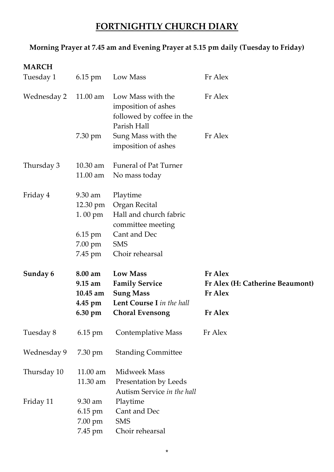## **FORTNIGHTLY CHURCH DIARY**

## **Morning Prayer at 7.45 am and Evening Prayer at 5.15 pm daily (Tuesday to Friday)**

| <b>MARCH</b> |                                                       |                                                                                           |                                                                     |
|--------------|-------------------------------------------------------|-------------------------------------------------------------------------------------------|---------------------------------------------------------------------|
| Tuesday 1    | $6.15 \text{ pm}$                                     | Low Mass                                                                                  | Fr Alex                                                             |
| Wednesday 2  | $11.00$ am                                            | Low Mass with the<br>imposition of ashes<br>followed by coffee in the<br>Parish Hall      | Fr Alex                                                             |
|              | 7.30 pm                                               | Sung Mass with the<br>imposition of ashes                                                 | Fr Alex                                                             |
| Thursday 3   | $10.30$ am<br>$11.00$ am                              | <b>Funeral of Pat Turner</b><br>No mass today                                             |                                                                     |
| Friday 4     | 9.30 am<br>12.30 pm<br>1.00 pm                        | Playtime<br>Organ Recital<br>Hall and church fabric<br>committee meeting                  |                                                                     |
|              | $6.15 \text{ pm}$                                     | Cant and Dec                                                                              |                                                                     |
|              | 7.00 pm                                               | <b>SMS</b>                                                                                |                                                                     |
|              | 7.45 pm                                               | Choir rehearsal                                                                           |                                                                     |
| Sunday 6     | 8.00 am<br>$9.15 \text{ am}$<br>$10.45$ am<br>4.45 pm | <b>Low Mass</b><br><b>Family Service</b><br><b>Sung Mass</b><br>Lent Course I in the hall | <b>Fr</b> Alex<br>Fr Alex (H: Catherine Beaumont)<br><b>Fr</b> Alex |
|              | $6.30 \text{ pm}$                                     | <b>Choral Evensong</b>                                                                    | <b>Fr</b> Alex                                                      |
| Tuesday 8    | $6.15$ pm                                             | Contemplative Mass                                                                        | Fr Alex                                                             |
| Wednesday 9  | 7.30 pm                                               | <b>Standing Committee</b>                                                                 |                                                                     |
| Thursday 10  | 11.00 am                                              | Midweek Mass                                                                              |                                                                     |
|              | 11.30 am                                              | Presentation by Leeds<br>Autism Service in the hall                                       |                                                                     |
| Friday 11    | 9.30 am                                               | Playtime                                                                                  |                                                                     |
|              |                                                       | Cant and Dec                                                                              |                                                                     |
|              | 6.15 pm                                               |                                                                                           |                                                                     |
|              | 7.00 pm                                               | <b>SMS</b>                                                                                |                                                                     |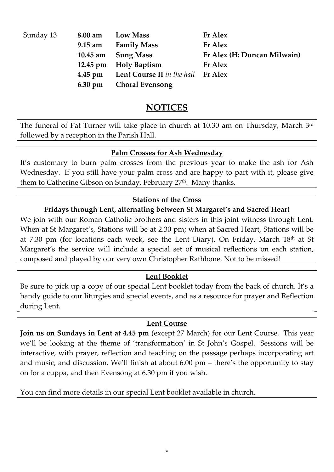| Sunday 13 | $8.00 \text{ am}$ | Low Mass                                  | <b>Fr</b> Alex              |
|-----------|-------------------|-------------------------------------------|-----------------------------|
|           | $9.15 \text{ am}$ | <b>Family Mass</b>                        | <b>Fr</b> Alex              |
|           | $10.45$ am        | <b>Sung Mass</b>                          | Fr Alex (H: Duncan Milwain) |
|           |                   | 12.45 pm Holy Baptism                     | <b>Fr</b> Alex              |
|           | $4.45$ pm         | <b>Lent Course II</b> in the hall Fr Alex |                             |
|           | $6.30 \text{ pm}$ | <b>Choral Evensong</b>                    |                             |

## **NOTICES**

The funeral of Pat Turner will take place in church at 10.30 am on Thursday, March 3rd followed by a reception in the Parish Hall.

#### **Palm Crosses for Ash Wednesday**

It's customary to burn palm crosses from the previous year to make the ash for Ash Wednesday. If you still have your palm cross and are happy to part with it, please give them to Catherine Gibson on Sunday, February 27<sup>th</sup>. Many thanks.

#### **Stations of the Cross**

### **Fridays through Lent, alternating between St Margaret's and Sacred Heart**

We join with our Roman Catholic brothers and sisters in this joint witness through Lent. When at St Margaret's, Stations will be at 2.30 pm; when at Sacred Heart, Stations will be at 7.30 pm (for locations each week, see the Lent Diary). On Friday, March  $18<sup>th</sup>$  at St Margaret's the service will include a special set of musical reflections on each station, composed and played by our very own Christopher Rathbone. Not to be missed!

### **Lent Booklet**

Be sure to pick up a copy of our special Lent booklet today from the back of church. It's a handy guide to our liturgies and special events, and as a resource for prayer and Reflection during Lent.

### **Lent Course**

**Join us on Sundays in Lent at 4.45 pm** (except 27 March) for our Lent Course. This year we'll be looking at the theme of 'transformation' in St John's Gospel. Sessions will be interactive, with prayer, reflection and teaching on the passage perhaps incorporating art and music, and discussion. We'll finish at about 6.00 pm – there's the opportunity to stay on for a cuppa, and then Evensong at 6.30 pm if you wish.

You can find more details in our special Lent booklet available in church.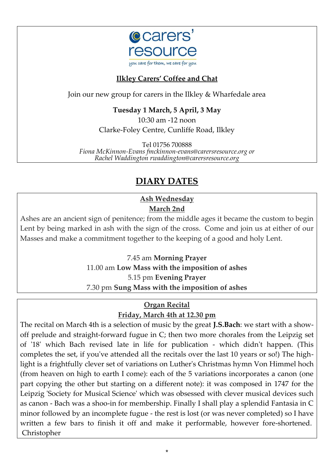

#### **Ilkley Carers' Coffee and Chat**

Join our new group for carers in the Ilkley & Wharfedale area

#### **Tuesday 1 March, 5 April, 3 May**

10:30 am -12 noon Clarke-Foley Centre, Cunliffe Road, Ilkley

Tel 01756 700888 *Fiona McKinnon-Evans fmckinnon-evans@carersresource.org or Rachel Waddington rwaddington@carersresource.org*

## **DIARY DATES**

## **Ash Wednesday March 2nd**

Ashes are an ancient sign of penitence; from the middle ages it became the custom to begin Lent by being marked in ash with the sign of the cross. Come and join us at either of our Masses and make a commitment together to the keeping of a good and holy Lent.

> 7.45 am **Morning Prayer** 11.00 am **Low Mass with the imposition of ashes** 5.15 pm **Evening Prayer** 7.30 pm **Sung Mass with the imposition of ashes**

## **Organ Recital**

#### **Friday, March 4th at 12.30 pm**

The recital on March 4th is a selection of music by the great **J.S.Bach**: we start with a showoff prelude and straight-forward fugue in C; then two more chorales from the Leipzig set of '18' which Bach revised late in life for publication - which didn't happen. (This completes the set, if you've attended all the recitals over the last 10 years or so!) The highlight is a frightfully clever set of variations on Luther's Christmas hymn Von Himmel hoch (from heaven on high to earth I come): each of the 5 variations incorporates a canon (one part copying the other but starting on a different note): it was composed in 1747 for the Leipzig 'Society for Musical Science' which was obsessed with clever musical devices such as canon - Bach was a shoo-in for membership. Finally I shall play a splendid Fantasia in C minor followed by an incomplete fugue - the rest is lost (or was never completed) so I have written a few bars to finish it off and make it performable, however fore-shortened. Christopher